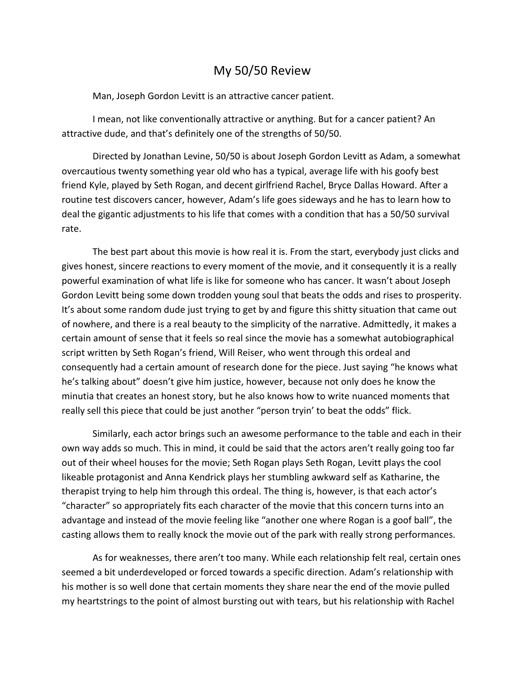## My 50/50 Review

Man, Joseph Gordon Levitt is an attractive cancer patient.

I mean, not like conventionally attractive or anything. But for a cancer patient? An attractive dude, and that's definitely one of the strengths of 50/50.

Directed by Jonathan Levine, 50/50 is about Joseph Gordon Levitt as Adam, a somewhat overcautious twenty something year old who has a typical, average life with his goofy best friend Kyle, played by Seth Rogan, and decent girlfriend Rachel, Bryce Dallas Howard. After a routine test discovers cancer, however, Adam's life goes sideways and he has to learn how to deal the gigantic adjustments to his life that comes with a condition that has a 50/50 survival rate.

The best part about this movie is how real it is. From the start, everybody just clicks and gives honest, sincere reactions to every moment of the movie, and it consequently it is a really powerful examination of what life is like for someone who has cancer. It wasn't about Joseph Gordon Levitt being some down trodden young soul that beats the odds and rises to prosperity. It's about some random dude just trying to get by and figure this shitty situation that came out of nowhere, and there is a real beauty to the simplicity of the narrative. Admittedly, it makes a certain amount of sense that it feels so real since the movie has a somewhat autobiographical script written by Seth Rogan's friend, Will Reiser, who went through this ordeal and consequently had a certain amount of research done for the piece. Just saying "he knows what he's talking about" doesn't give him justice, however, because not only does he know the minutia that creates an honest story, but he also knows how to write nuanced moments that really sell this piece that could be just another "person tryin' to beat the odds" flick.

Similarly, each actor brings such an awesome performance to the table and each in their own way adds so much. This in mind, it could be said that the actors aren't really going too far out of their wheel houses for the movie; Seth Rogan plays Seth Rogan, Levitt plays the cool likeable protagonist and Anna Kendrick plays her stumbling awkward self as Katharine, the therapist trying to help him through this ordeal. The thing is, however, is that each actor's "character" so appropriately fits each character of the movie that this concern turns into an advantage and instead of the movie feeling like "another one where Rogan is a goof ball", the casting allows them to really knock the movie out of the park with really strong performances.

As for weaknesses, there aren't too many. While each relationship felt real, certain ones seemed a bit underdeveloped or forced towards a specific direction. Adam's relationship with his mother is so well done that certain moments they share near the end of the movie pulled my heartstrings to the point of almost bursting out with tears, but his relationship with Rachel